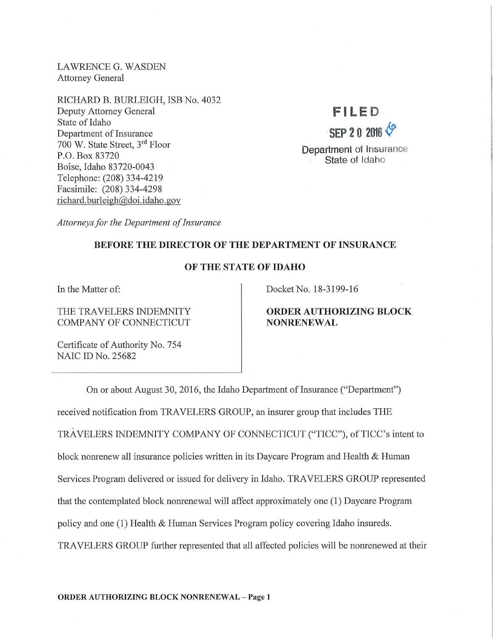LAWRENCE G. WASDEN Attorney General

RICHARD B. BURLEIGH, ISB No. 4032 Deputy Attorney General State of Idaho Department of Insurance 700 W. State Street, 3rd Floor P.O. Box 83720 Boise, Idaho 83720-0043 Telephone: (208) 334-4219 Facsimile: (208) 334-4298 richard.burleigh@doi.idaho.gov

# F l LED **SEP 2 0 2016 6**

Department of Insurance State of Idaho

*Attorneys for the Department of Insurance* 

### BEFORE THE DIRECTOR OF THE DEPARTMENT OF INSURANCE

### OF THE STATE OF IDAHO

In the Matter of:

THE TRAVELERS INDEMNITY COMPANY OF CONNECTICUT

Docket No. 18-3199-16

## ORDER AUTHORIZING BLOCK NONRENEWAL

Certificate of Authority No. 754 NAIC ID No. 25682

On or about August 30, 2016, the Idaho Department of Insurance ("Department") received notification from TRAVELERS GROUP, an insurer group that includes THE TRAVELERS INDEMNITY COMPANY OF CONNECTICUT ("TICC"), of TICC's intent to block nomenew all insurance policies written in its Daycare Program and Health & Human Services Program delivered or issued for delivery in Idaho. TRAVELERS GROUP represented that the contemplated block nomenewal will affect approximately one (1) Daycare Program policy and one (1) Health & Human Services Program policy covering Idaho insureds. TRAVELERS GROUP further represented that all affected policies will be nomenewed at their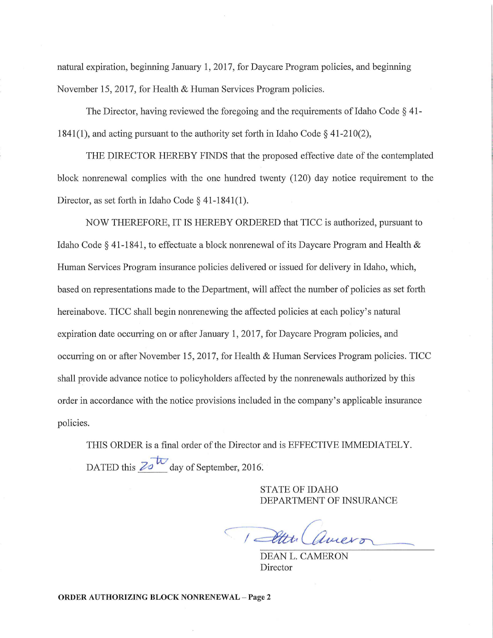natural expiration, beginning January 1, 2017, for Daycare Program policies, and beginning November 15, 2017, for Health & Human Services Program policies.

The Director, having reviewed the foregoing and the requirements of Idaho Code § 41- 1841(1), and acting pursuant to the authority set forth in Idaho Code§ 41-210(2),

THE DIRECTOR HEREBY FINDS that the proposed effective date of the contemplated block nomenewal complies with the one hundred twenty (120) day notice requirement to the Director, as set forth in Idaho Code § 41-1841(1).

NOW THEREFORE, IT IS HEREBY ORDERED that TICC is authorized, pursuant to Idaho Code § 41-1841, to effectuate a block nomenewal of its Daycare Program and Health & Human Services Program insurance policies delivered or issued for delivery in Idaho, which, based on representations made to the Department, will affect the number of policies as set forth hereinabove. TICC shall begin nomenewing the affected policies at each policy's natural expiration date occurring on or after January 1, 2017, for Daycare Program policies, and occurring on or after November 15, 2017, for Health & Human Services Program policies. TICC shall provide advance notice to policyholders affected by the nomenewals authorized by this order in accordance with the notice provisions included in the company's applicable insurance policies.

THIS ORDER is a final order of the Director and is EFFECTIVE IMMEDIATELY. DATED this  $25\sqrt{t}$  day of September, 2016.

> STATE OF IDAHO DEPARTMENT OF INSURANCE

1 Atth amero

DEAN L. CAMERON Director

ORDER AUTHORIZING BLOCK NONRENEWAL - Page 2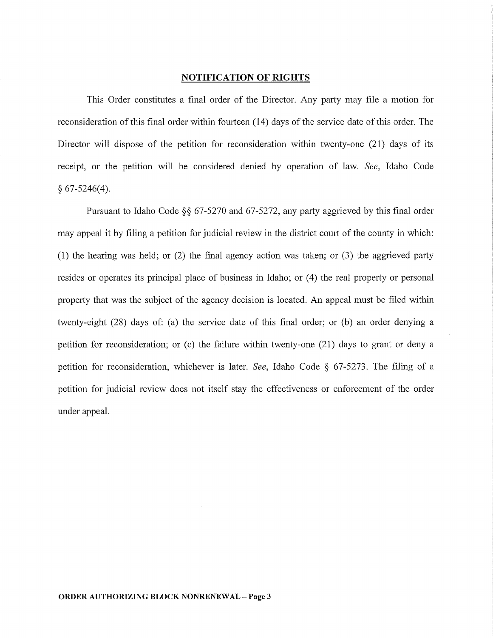#### **NOTIFICATION OF RIGHTS**

This Order constitutes a final order of the Director. Any party may file a motion for reconsideration of this final order within fourteen (14) days of the service date of this order. The Director will dispose of the petition for reconsideration within twenty-one (21) days of its receipt, or the petition will be considered denied by operation of law. *See,* Idaho Code  $§ 67-5246(4).$ 

Pursuant to Idaho Code §§ 67-5270 and 67-5272, any party aggrieved by this final order may appeal it by filing a petition for judicial review in the district court of the county in which: (1) the hearing was held; or  $(2)$  the final agency action was taken; or  $(3)$  the aggrieved party resides or operates its principal place of business in Idaho; or (4) the real property or personal property that was the subject of the agency decision is located. An appeal must be filed within twenty-eight (28) days of: (a) the service date of this final order; or (b) an order denying a petition for reconsideration; or (c) the failure within twenty-one (21) days to grant or deny a petition for reconsideration, whichever is later. *See,* Idaho Code § 67-5273. The filing of a petition for judicial review does not itself stay the effectiveness or enforcement of the order under appeal.